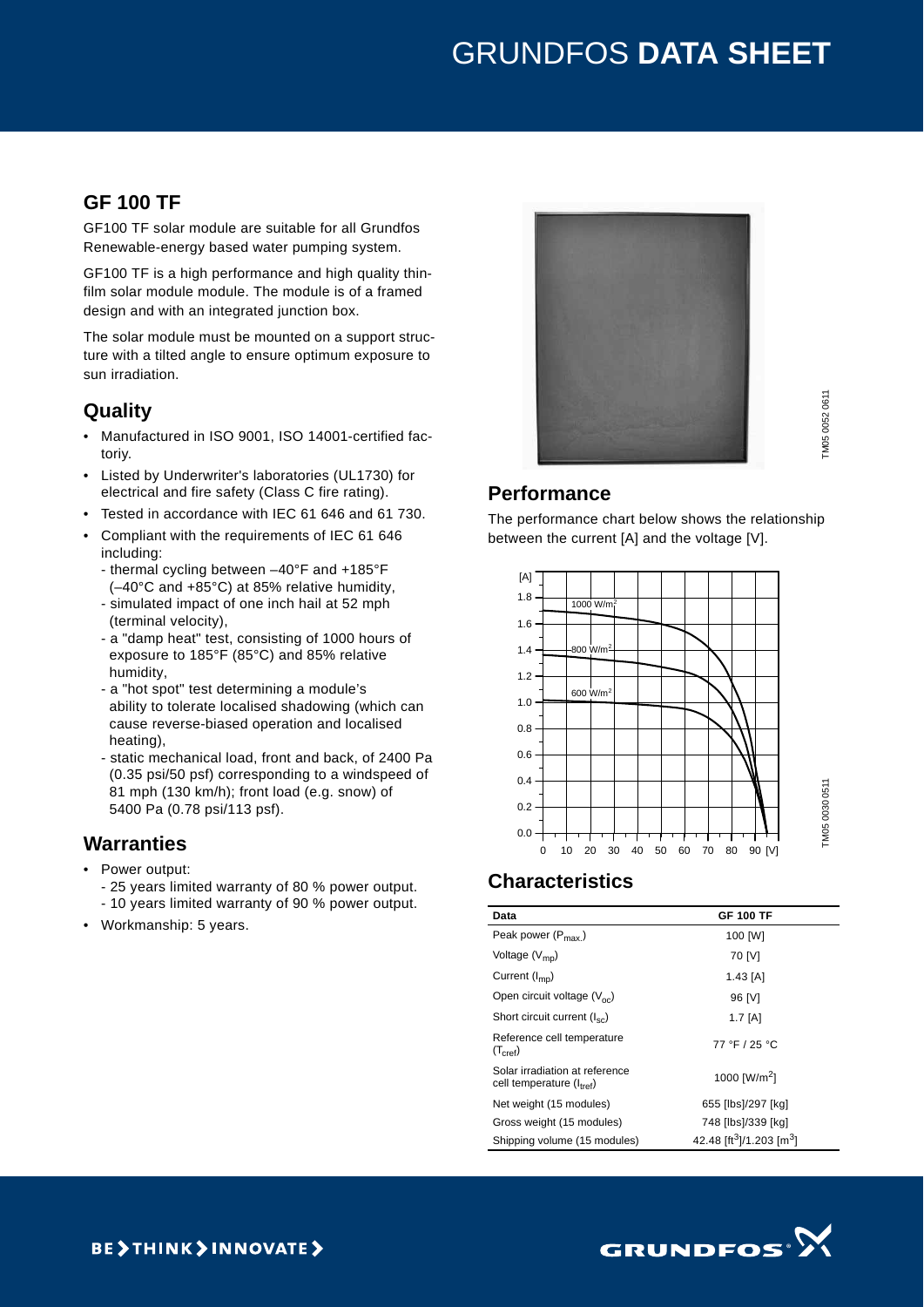# GRUNDFOS **DATA SHEET**

## **GF 100 TF**

GF100 TF solar module are suitable for all Grundfos Renewable-energy based water pumping system.

GF100 TF is a high performance and high quality thinfilm solar module module. The module is of a framed design and with an integrated junction box.

The solar module must be mounted on a support structure with a tilted angle to ensure optimum exposure to sun irradiation.

### **Quality**

- Manufactured in ISO 9001, ISO 14001-certified factoriy.
- Listed by Underwriter's laboratories (UL1730) for electrical and fire safety (Class C fire rating).
- Tested in accordance with IEC 61 646 and 61 730.
- Compliant with the requirements of IEC 61 646 including:
	- thermal cycling between –40°F and +185°F (–40°C and +85°C) at 85% relative humidity,
	- simulated impact of one inch hail at 52 mph (terminal velocity),
	- a "damp heat" test, consisting of 1000 hours of exposure to 185°F (85°C) and 85% relative humidity,
	- a "hot spot" test determining a module's ability to tolerate localised shadowing (which can cause reverse-biased operation and localised heating),
	- static mechanical load, front and back, of 2400 Pa (0.35 psi/50 psf) corresponding to a windspeed of 81 mph (130 km/h); front load (e.g. snow) of 5400 Pa (0.78 psi/113 psf).

## **Warranties**

- Power output:
	- 25 years limited warranty of 80 % power output. - 10 years limited warranty of 90 % power output.
- Workmanship: 5 years.



TM05 0030 0511

TM05 0030 0511

## **Performance**

The performance chart below shows the relationship between the current [A] and the voltage [V].



# **Characteristics**

| Data                                                                   | <b>GF 100 TF</b>                                 |
|------------------------------------------------------------------------|--------------------------------------------------|
| Peak power $(P_{\text{max}})$                                          | 100 [W]                                          |
| Voltage $(V_{\text{mp}})$                                              | 70 [V]                                           |
| Current $(I_{mn})$                                                     | $1.43$ [A]                                       |
| Open circuit voltage $(V_{\text{oc}})$                                 | 96 [V]                                           |
| Short circuit current $(I_{\rm sc})$                                   | $1.7$ [A]                                        |
| Reference cell temperature<br>$(T_{\text{cref}})$                      | 77 °F / 25 °C                                    |
| Solar irradiation at reference<br>cell temperature $(l_{\text{tref}})$ | 1000 [W/m <sup>2</sup> ]                         |
| Net weight (15 modules)                                                | 655 [lbs]/297 [kg]                               |
| Gross weight (15 modules)                                              | 748 [lbs]/339 [kg]                               |
| Shipping volume (15 modules)                                           | 42.48 [ft <sup>3</sup> ]/1.203 [m <sup>3</sup> ] |